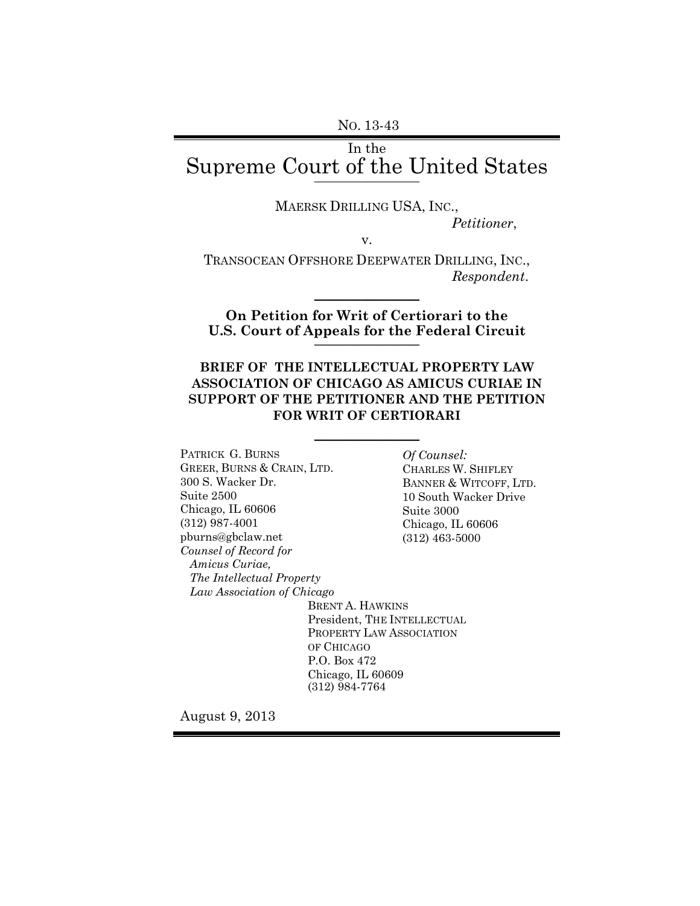# In the Supreme Court of the United States **\_\_\_\_\_\_\_\_\_\_\_\_\_\_\_\_**

MAERSK DRILLING USA, INC.,

*Petitioner*,

v.

TRANSOCEAN OFFSHORE DEEPWATER DRILLING, INC., *Respondent*.

 $\frac{1}{2}$ 

**On Petition for Writ of Certiorari to the U.S. Court of Appeals for the Federal Circuit** \_\_\_\_\_\_\_\_\_\_\_\_\_\_\_\_

### **BRIEF OF THE INTELLECTUAL PROPERTY LAW ASSOCIATION OF CHICAGO AS AMICUS CURIAE IN SUPPORT OF THE PETITIONER AND THE PETITION FOR WRIT OF CERTIORARI**

 $\frac{1}{2}$ 

PATRICK G. BURNS GREER, BURNS & CRAIN, LTD. 300 S. Wacker Dr. Suite 2500 Chicago, IL 60606 (312) 987-4001 pburns@gbclaw.net *Counsel of Record for Amicus Curiae, The Intellectual Property Law Association of Chicago* 

*Of Counsel:* CHARLES W. SHIFLEY BANNER & WITCOFF, LTD. 10 South Wacker Drive Suite 3000 Chicago, IL 60606 (312) 463-5000

BRENT A. HAWKINS President, THE INTELLECTUAL PROPERTY LAW ASSOCIATION OF CHICAGO P.O. Box 472 Chicago, IL 60609 (312) 984-7764

August 9, 2013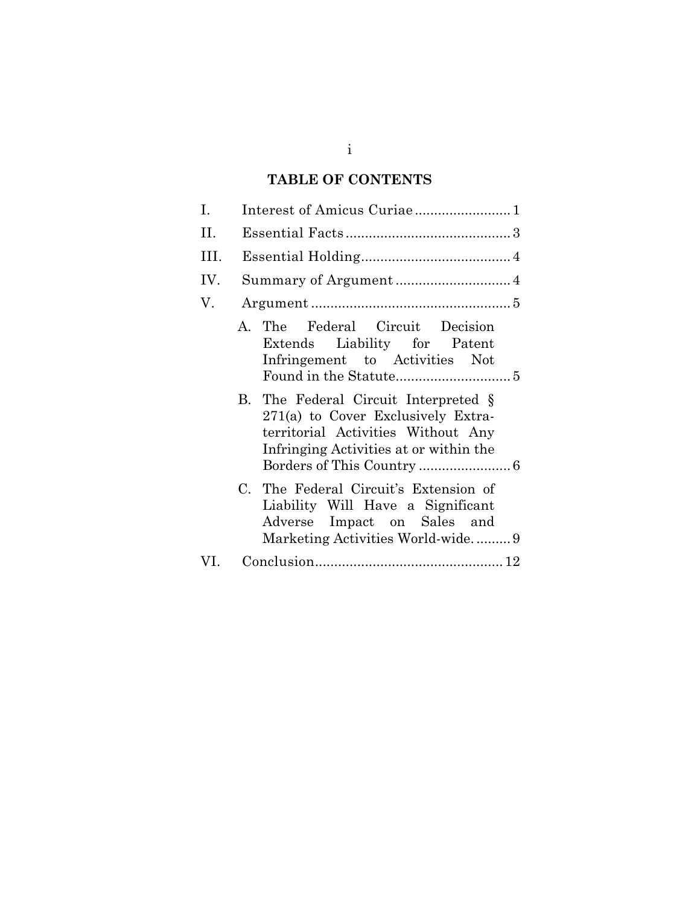# **TABLE OF CONTENTS**

| Ι.   |  |                                                                                                                                                            |
|------|--|------------------------------------------------------------------------------------------------------------------------------------------------------------|
| Η.   |  |                                                                                                                                                            |
| III. |  |                                                                                                                                                            |
| IV.  |  |                                                                                                                                                            |
| V.   |  |                                                                                                                                                            |
|      |  | A. The Federal Circuit Decision<br>Extends Liability for Patent<br>Infringement to Activities Not                                                          |
|      |  | B. The Federal Circuit Interpreted §<br>271(a) to Cover Exclusively Extra-<br>territorial Activities Without Any<br>Infringing Activities at or within the |
|      |  | C. The Federal Circuit's Extension of<br>Liability Will Have a Significant<br>Adverse Impact on Sales and<br>Marketing Activities World-wide9              |
| VL.  |  |                                                                                                                                                            |

i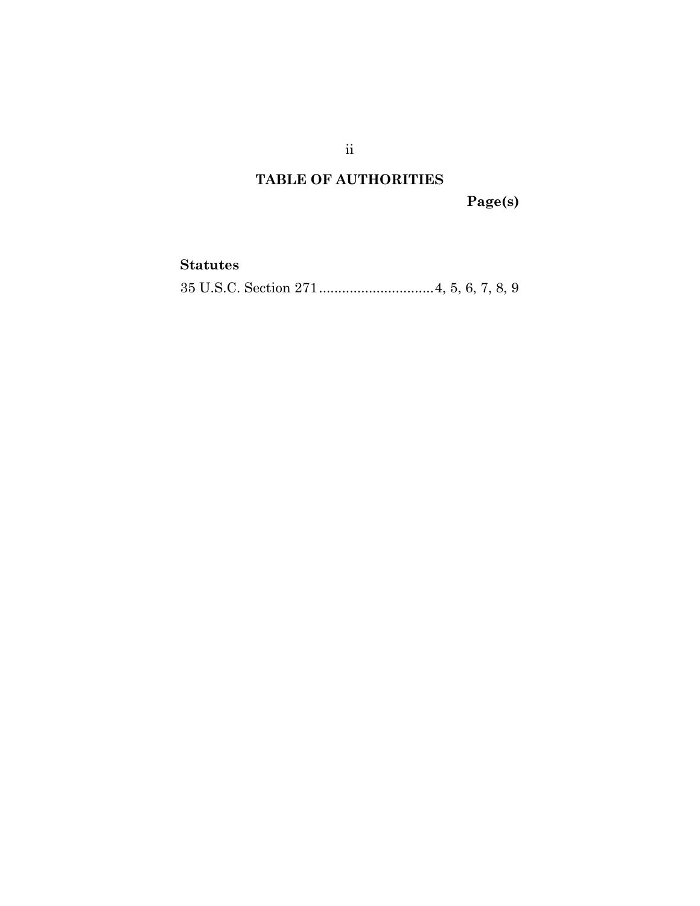# **TABLE OF AUTHORITIES**

**Page(s)** 

## **Statutes**

35 U.S.C. Section 271 .............................. 4, 5, 6, 7, 8, 9

ii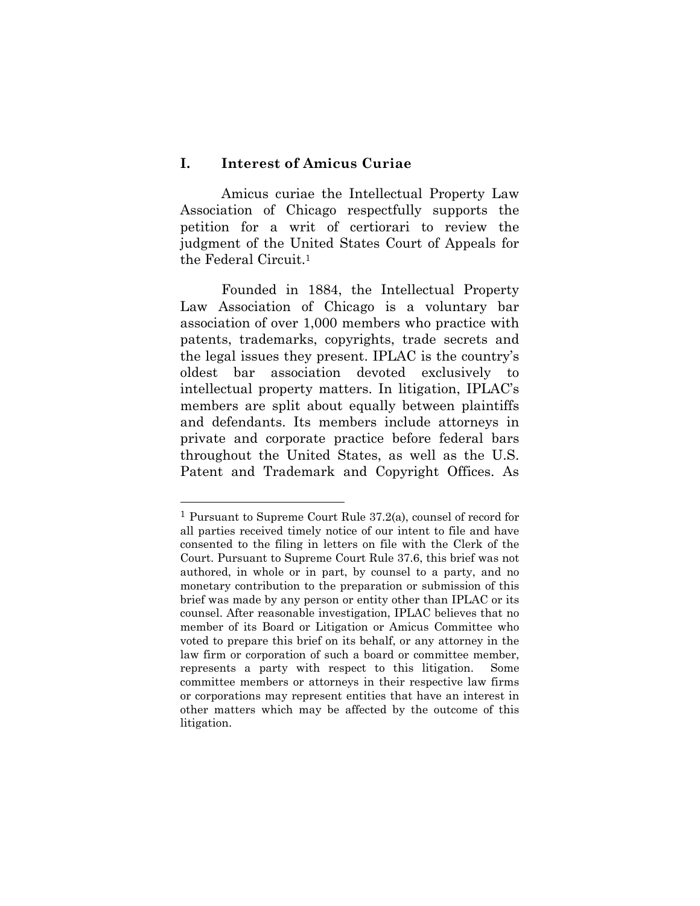### **I. Interest of Amicus Curiae**

l

Amicus curiae the Intellectual Property Law Association of Chicago respectfully supports the petition for a writ of certiorari to review the judgment of the United States Court of Appeals for the Federal Circuit.1

Founded in 1884, the Intellectual Property Law Association of Chicago is a voluntary bar association of over 1,000 members who practice with patents, trademarks, copyrights, trade secrets and the legal issues they present. IPLAC is the country's oldest bar association devoted exclusively to intellectual property matters. In litigation, IPLAC's members are split about equally between plaintiffs and defendants. Its members include attorneys in private and corporate practice before federal bars throughout the United States, as well as the U.S. Patent and Trademark and Copyright Offices. As

<sup>1</sup> Pursuant to Supreme Court Rule 37.2(a), counsel of record for all parties received timely notice of our intent to file and have consented to the filing in letters on file with the Clerk of the Court. Pursuant to Supreme Court Rule 37.6, this brief was not authored, in whole or in part, by counsel to a party, and no monetary contribution to the preparation or submission of this brief was made by any person or entity other than IPLAC or its counsel. After reasonable investigation, IPLAC believes that no member of its Board or Litigation or Amicus Committee who voted to prepare this brief on its behalf, or any attorney in the law firm or corporation of such a board or committee member, represents a party with respect to this litigation. Some committee members or attorneys in their respective law firms or corporations may represent entities that have an interest in other matters which may be affected by the outcome of this litigation.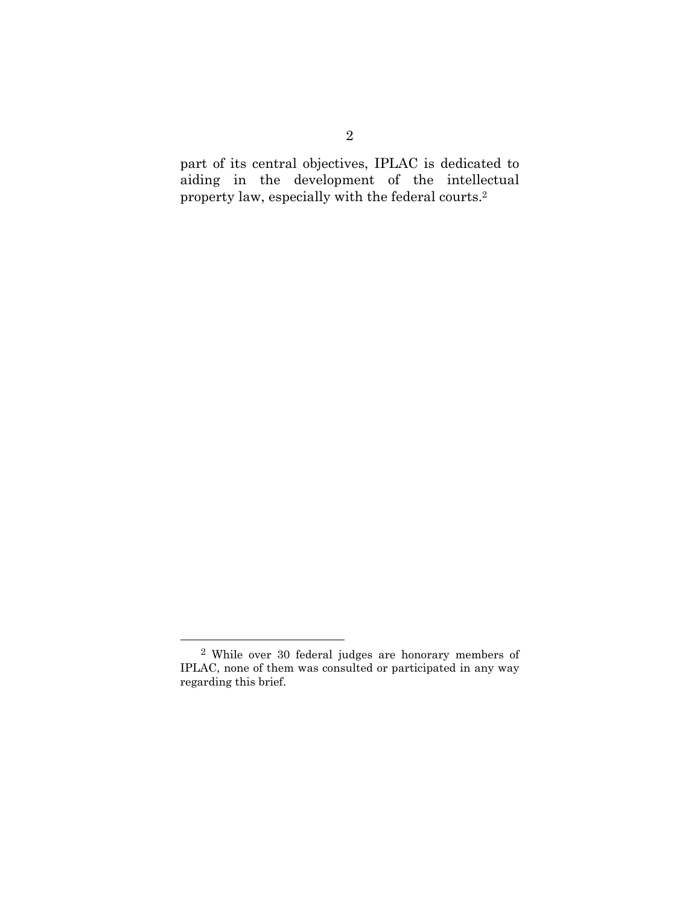part of its central objectives, IPLAC is dedicated to aiding in the development of the intellectual property law, especially with the federal courts.2

 <sup>2</sup> While over 30 federal judges are honorary members of IPLAC, none of them was consulted or participated in any way regarding this brief.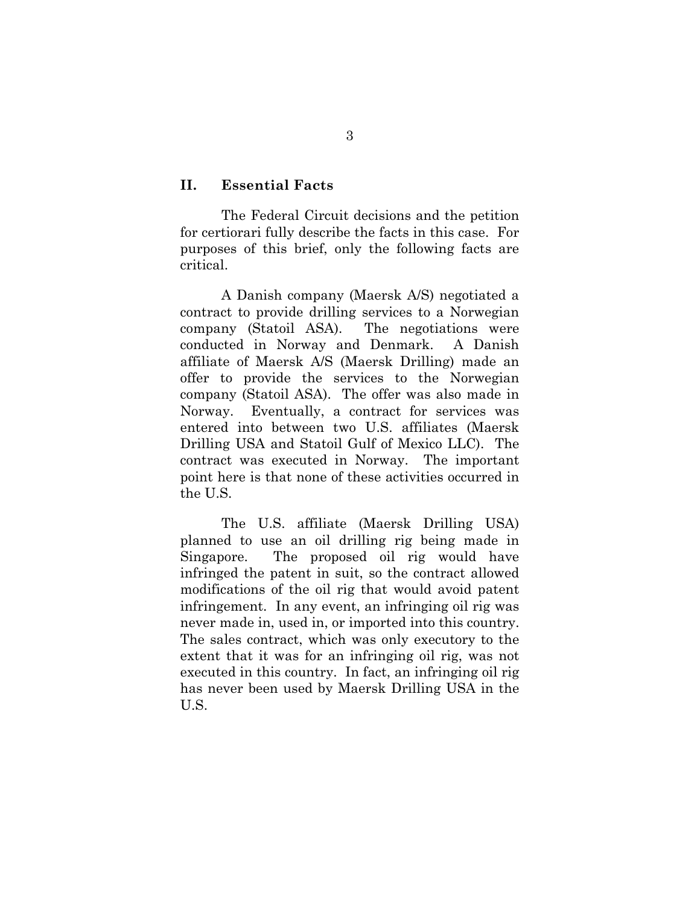#### **II. Essential Facts**

The Federal Circuit decisions and the petition for certiorari fully describe the facts in this case. For purposes of this brief, only the following facts are critical.

A Danish company (Maersk A/S) negotiated a contract to provide drilling services to a Norwegian company (Statoil ASA). The negotiations were conducted in Norway and Denmark. A Danish affiliate of Maersk A/S (Maersk Drilling) made an offer to provide the services to the Norwegian company (Statoil ASA). The offer was also made in Norway. Eventually, a contract for services was entered into between two U.S. affiliates (Maersk Drilling USA and Statoil Gulf of Mexico LLC). The contract was executed in Norway. The important point here is that none of these activities occurred in the U.S.

The U.S. affiliate (Maersk Drilling USA) planned to use an oil drilling rig being made in Singapore. The proposed oil rig would have infringed the patent in suit, so the contract allowed modifications of the oil rig that would avoid patent infringement. In any event, an infringing oil rig was never made in, used in, or imported into this country. The sales contract, which was only executory to the extent that it was for an infringing oil rig, was not executed in this country. In fact, an infringing oil rig has never been used by Maersk Drilling USA in the U.S.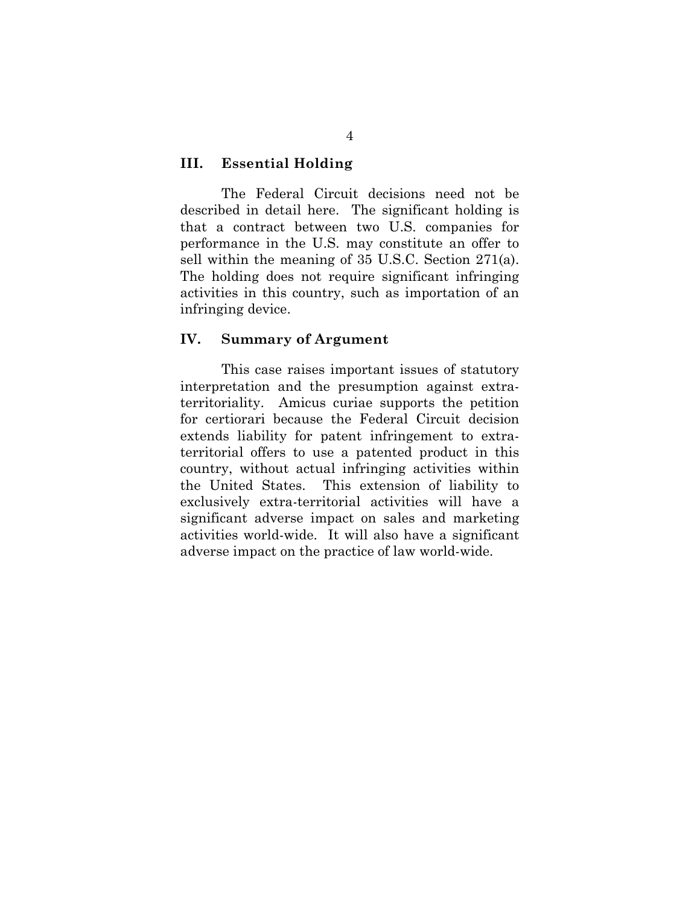#### **III. Essential Holding**

The Federal Circuit decisions need not be described in detail here. The significant holding is that a contract between two U.S. companies for performance in the U.S. may constitute an offer to sell within the meaning of 35 U.S.C. Section 271(a). The holding does not require significant infringing activities in this country, such as importation of an infringing device.

#### **IV. Summary of Argument**

This case raises important issues of statutory interpretation and the presumption against extraterritoriality. Amicus curiae supports the petition for certiorari because the Federal Circuit decision extends liability for patent infringement to extraterritorial offers to use a patented product in this country, without actual infringing activities within the United States. This extension of liability to exclusively extra-territorial activities will have a significant adverse impact on sales and marketing activities world-wide. It will also have a significant adverse impact on the practice of law world-wide.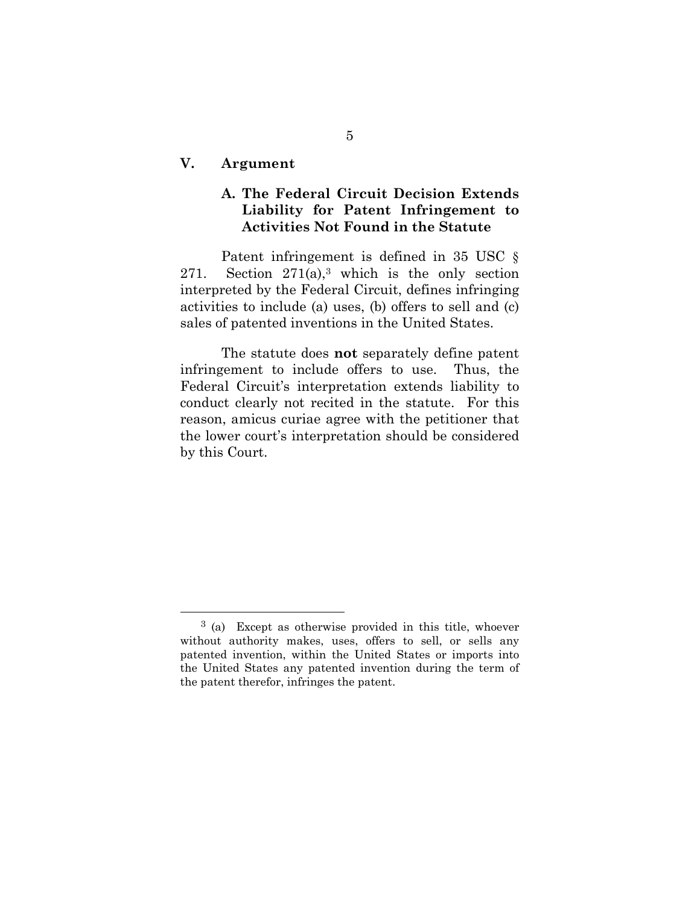#### **V. Argument**

## **A. The Federal Circuit Decision Extends Liability for Patent Infringement to Activities Not Found in the Statute**

Patent infringement is defined in 35 USC  $\S$ 271. Section  $271(a)$ ,<sup>3</sup> which is the only section interpreted by the Federal Circuit, defines infringing activities to include (a) uses, (b) offers to sell and (c) sales of patented inventions in the United States.

The statute does **not** separately define patent infringement to include offers to use. Thus, the Federal Circuit's interpretation extends liability to conduct clearly not recited in the statute. For this reason, amicus curiae agree with the petitioner that the lower court's interpretation should be considered by this Court.

 <sup>3 (</sup>a) Except as otherwise provided in this title, whoever without authority makes, uses, offers to sell, or sells any patented invention, within the United States or imports into the United States any patented invention during the term of the patent therefor, infringes the patent.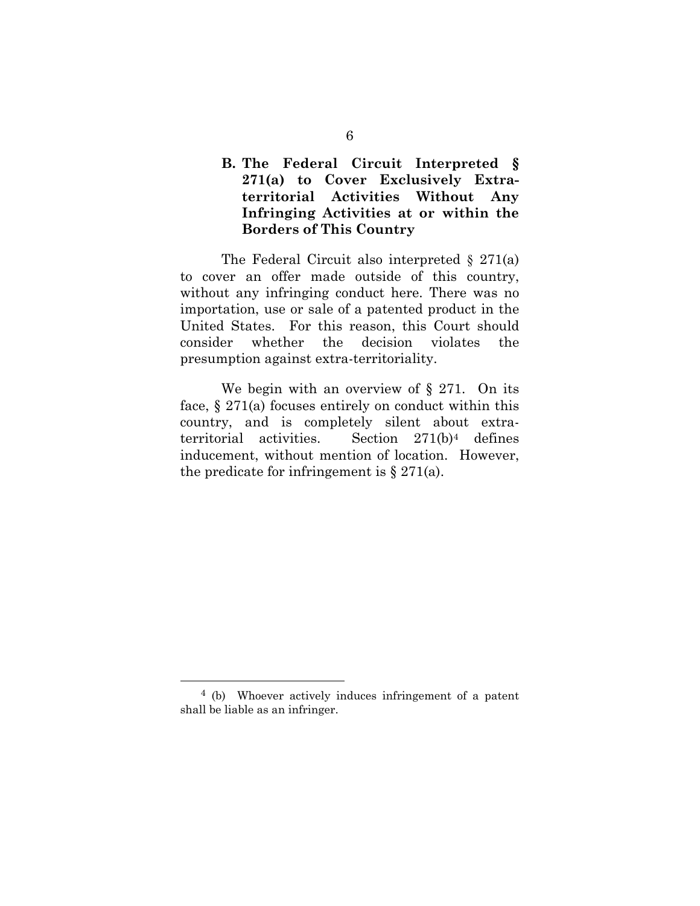## **B. The Federal Circuit Interpreted § 271(a) to Cover Exclusively Extraterritorial Activities Without Any Infringing Activities at or within the Borders of This Country**

The Federal Circuit also interpreted  $\S 271(a)$ to cover an offer made outside of this country, without any infringing conduct here. There was no importation, use or sale of a patented product in the United States. For this reason, this Court should consider whether the decision violates the presumption against extra-territoriality.

We begin with an overview of § 271. On its face, § 271(a) focuses entirely on conduct within this country, and is completely silent about extraterritorial activities. Section 271(b)4 defines inducement, without mention of location. However, the predicate for infringement is  $\S 271(a)$ .

 <sup>4 (</sup>b) Whoever actively induces infringement of a patent shall be liable as an infringer.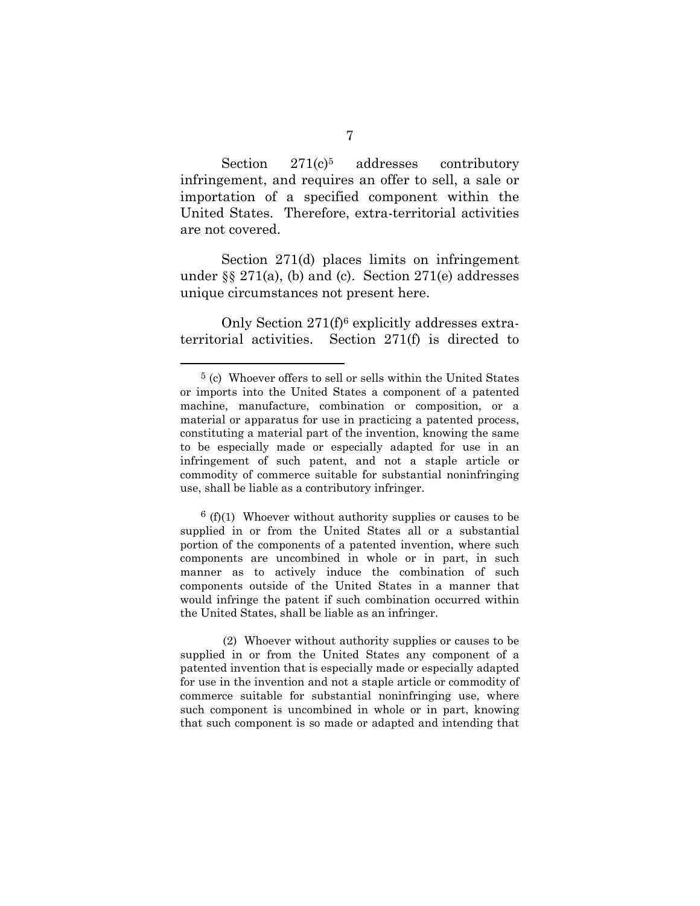Section 271(c)<sup>5</sup> addresses contributory infringement, and requires an offer to sell, a sale or importation of a specified component within the United States. Therefore, extra-territorial activities are not covered.

Section 271(d) places limits on infringement under  $\S$  271(a), (b) and (c). Section 271(e) addresses unique circumstances not present here.

Only Section 271(f)6 explicitly addresses extraterritorial activities. Section 271(f) is directed to

 $6(f)(1)$  Whoever without authority supplies or causes to be supplied in or from the United States all or a substantial portion of the components of a patented invention, where such components are uncombined in whole or in part, in such manner as to actively induce the combination of such components outside of the United States in a manner that would infringe the patent if such combination occurred within the United States, shall be liable as an infringer.

 (2) Whoever without authority supplies or causes to be supplied in or from the United States any component of a patented invention that is especially made or especially adapted for use in the invention and not a staple article or commodity of commerce suitable for substantial noninfringing use, where such component is uncombined in whole or in part, knowing that such component is so made or adapted and intending that

 <sup>5 (</sup>c) Whoever offers to sell or sells within the United States or imports into the United States a component of a patented machine, manufacture, combination or composition, or a material or apparatus for use in practicing a patented process, constituting a material part of the invention, knowing the same to be especially made or especially adapted for use in an infringement of such patent, and not a staple article or commodity of commerce suitable for substantial noninfringing use, shall be liable as a contributory infringer.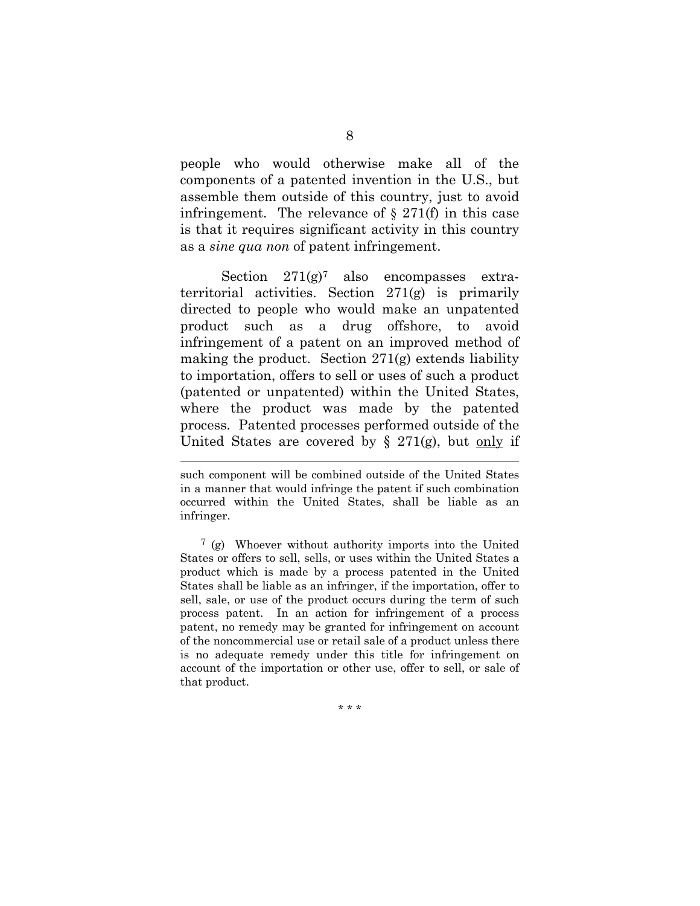people who would otherwise make all of the components of a patented invention in the U.S., but assemble them outside of this country, just to avoid infringement. The relevance of  $\S 271(f)$  in this case is that it requires significant activity in this country as a *sine qua non* of patent infringement.

Section  $271(g)^7$  also encompasses extraterritorial activities. Section 271(g) is primarily directed to people who would make an unpatented product such as a drug offshore, to avoid infringement of a patent on an improved method of making the product. Section 271(g) extends liability to importation, offers to sell or uses of such a product (patented or unpatented) within the United States, where the product was made by the patented process. Patented processes performed outside of the United States are covered by  $\S$  271(g), but only if

l

7 (g) Whoever without authority imports into the United States or offers to sell, sells, or uses within the United States a product which is made by a process patented in the United States shall be liable as an infringer, if the importation, offer to sell, sale, or use of the product occurs during the term of such process patent. In an action for infringement of a process patent, no remedy may be granted for infringement on account of the noncommercial use or retail sale of a product unless there is no adequate remedy under this title for infringement on account of the importation or other use, offer to sell, or sale of that product.

\* \* \*

such component will be combined outside of the United States in a manner that would infringe the patent if such combination occurred within the United States, shall be liable as an infringer.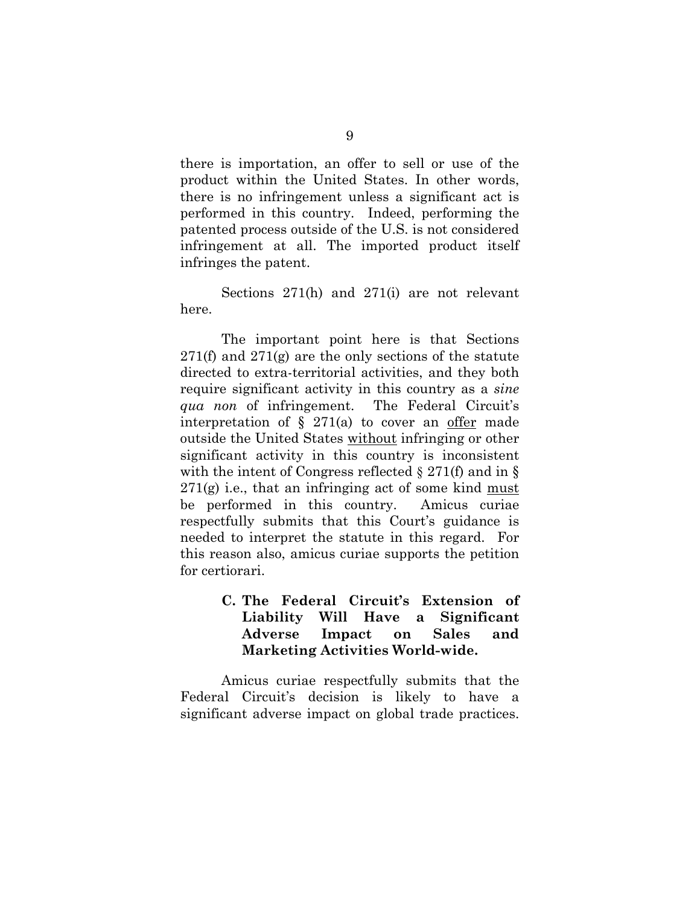there is importation, an offer to sell or use of the product within the United States. In other words, there is no infringement unless a significant act is performed in this country. Indeed, performing the patented process outside of the U.S. is not considered infringement at all. The imported product itself infringes the patent.

Sections 271(h) and 271(i) are not relevant here.

The important point here is that Sections 271(f) and  $271(g)$  are the only sections of the statute directed to extra-territorial activities, and they both require significant activity in this country as a *sine qua non* of infringement. The Federal Circuit's interpretation of  $\S$  271(a) to cover an offer made outside the United States without infringing or other significant activity in this country is inconsistent with the intent of Congress reflected  $\S 271(f)$  and in  $\S$  $271(g)$  i.e., that an infringing act of some kind must be performed in this country. Amicus curiae respectfully submits that this Court's guidance is needed to interpret the statute in this regard. For this reason also, amicus curiae supports the petition for certiorari.

### **C. The Federal Circuit's Extension of Liability Will Have a Significant Adverse Impact on Sales and Marketing Activities World-wide.**

Amicus curiae respectfully submits that the Federal Circuit's decision is likely to have a significant adverse impact on global trade practices.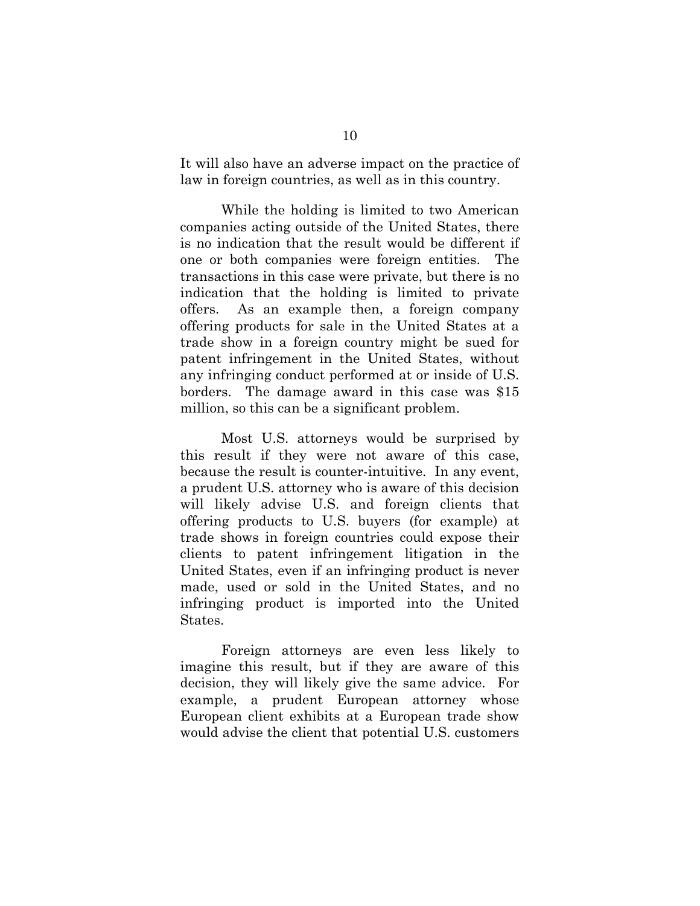It will also have an adverse impact on the practice of law in foreign countries, as well as in this country.

While the holding is limited to two American companies acting outside of the United States, there is no indication that the result would be different if one or both companies were foreign entities. The transactions in this case were private, but there is no indication that the holding is limited to private offers. As an example then, a foreign company offering products for sale in the United States at a trade show in a foreign country might be sued for patent infringement in the United States, without any infringing conduct performed at or inside of U.S. borders. The damage award in this case was \$15 million, so this can be a significant problem.

Most U.S. attorneys would be surprised by this result if they were not aware of this case, because the result is counter-intuitive. In any event, a prudent U.S. attorney who is aware of this decision will likely advise U.S. and foreign clients that offering products to U.S. buyers (for example) at trade shows in foreign countries could expose their clients to patent infringement litigation in the United States, even if an infringing product is never made, used or sold in the United States, and no infringing product is imported into the United States.

Foreign attorneys are even less likely to imagine this result, but if they are aware of this decision, they will likely give the same advice. For example, a prudent European attorney whose European client exhibits at a European trade show would advise the client that potential U.S. customers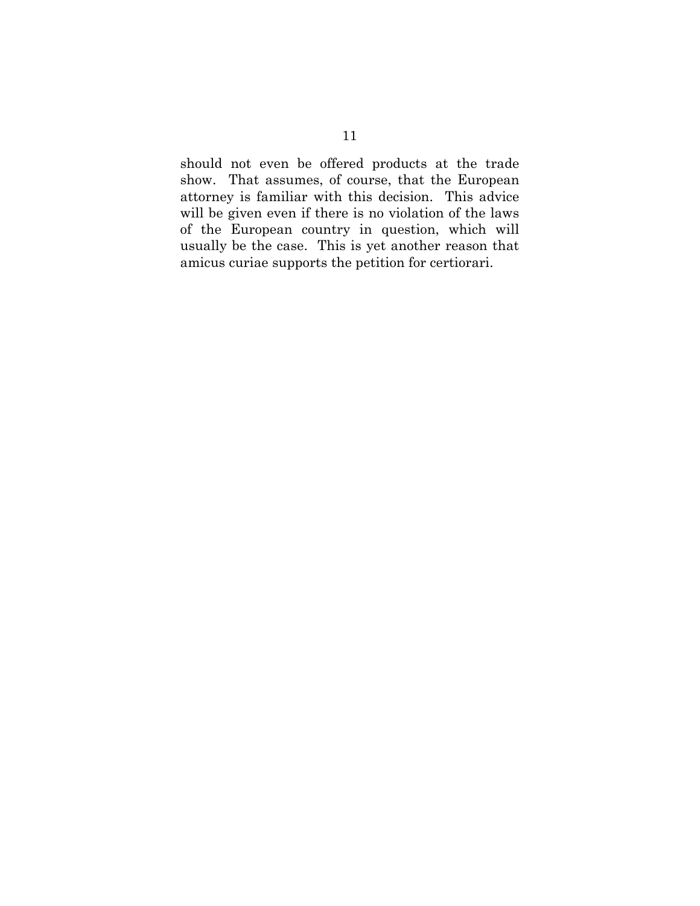should not even be offered products at the trade show. That assumes, of course, that the European attorney is familiar with this decision. This advice will be given even if there is no violation of the laws of the European country in question, which will usually be the case. This is yet another reason that amicus curiae supports the petition for certiorari.